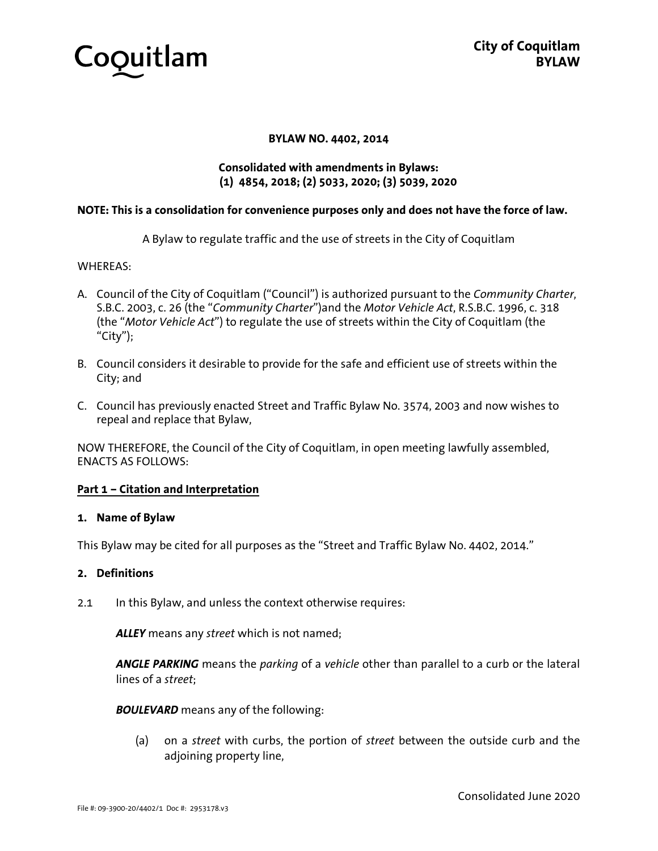

### **BYLAW NO. 4402, 2014**

## **Consolidated with amendments in Bylaws: (1) 4854, 2018; (2) 5033, 2020; (3) 5039, 2020**

### **NOTE: This is a consolidation for convenience purposes only and does not have the force of law.**

A Bylaw to regulate traffic and the use of streets in the City of Coquitlam

### WHEREAS:

- A. Council of the City of Coquitlam ("Council") is authorized pursuant to the *Community Charter*, S.B.C. 2003, c. 26 (the "*Community Charter*")and the *Motor Vehicle Act*, R.S.B.C. 1996, c. 318 (the "*Motor Vehicle Act*") to regulate the use of streets within the City of Coquitlam (the "City");
- B. Council considers it desirable to provide for the safe and efficient use of streets within the City; and
- C. Council has previously enacted Street and Traffic Bylaw No. 3574, 2003 and now wishes to repeal and replace that Bylaw,

NOW THEREFORE, the Council of the City of Coquitlam, in open meeting lawfully assembled, ENACTS AS FOLLOWS:

### **Part 1 – Citation and Interpretation**

#### **1. Name of Bylaw**

This Bylaw may be cited for all purposes as the "Street and Traffic Bylaw No. 4402, 2014."

#### **2. Definitions**

2.1 In this Bylaw, and unless the context otherwise requires:

*ALLEY* means any *street* which is not named;

*ANGLE PARKING* means the *parking* of a *vehicle* other than parallel to a curb or the lateral lines of a *street*;

*BOULEVARD* means any of the following:

(a) on a *street* with curbs, the portion of *street* between the outside curb and the adjoining property line,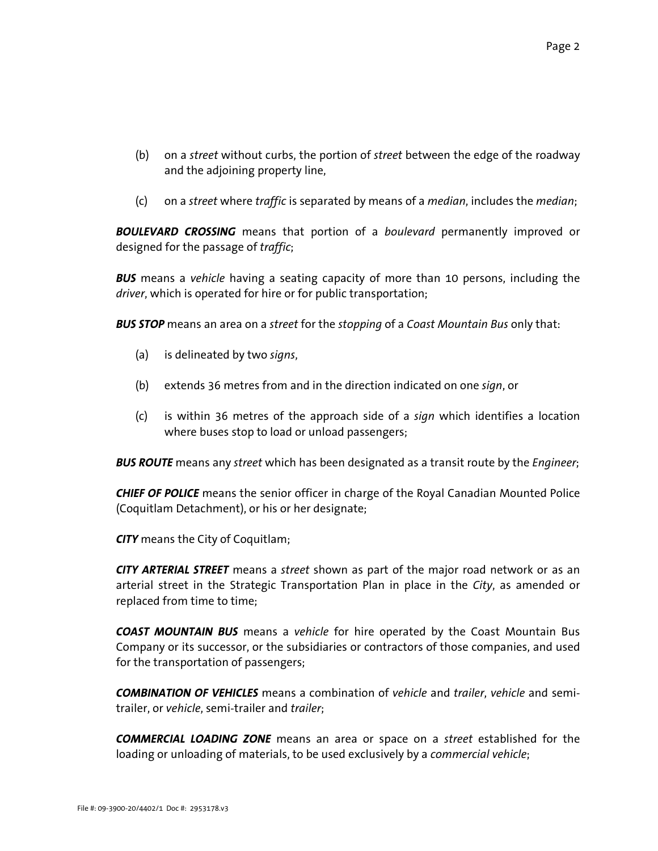- (b) on a *street* without curbs, the portion of *street* between the edge of the roadway and the adjoining property line,
- (c) on a *street* where *traffic* is separated by means of a *median*, includes the *median*;

*BOULEVARD CROSSING* means that portion of a *boulevard* permanently improved or designed for the passage of *traffic*;

*BUS* means a *vehicle* having a seating capacity of more than 10 persons, including the *driver*, which is operated for hire or for public transportation;

*BUS STOP* means an area on a *street* for the *stopping* of a *Coast Mountain Bus* only that:

- (a) is delineated by two *signs*,
- (b) extends 36 metres from and in the direction indicated on one *sign*, or
- (c) is within 36 metres of the approach side of a *sign* which identifies a location where buses stop to load or unload passengers;

*BUS ROUTE* means any *street* which has been designated as a transit route by the *Engineer*;

*CHIEF OF POLICE* means the senior officer in charge of the Royal Canadian Mounted Police (Coquitlam Detachment), or his or her designate;

*CITY* means the City of Coquitlam;

*CITY ARTERIAL STREET* means a *street* shown as part of the major road network or as an arterial street in the Strategic Transportation Plan in place in the *City*, as amended or replaced from time to time;

*COAST MOUNTAIN BUS* means a *vehicle* for hire operated by the Coast Mountain Bus Company or its successor, or the subsidiaries or contractors of those companies, and used for the transportation of passengers;

*COMBINATION OF VEHICLES* means a combination of *vehicle* and *trailer*, *vehicle* and semitrailer, or *vehicle*, semi-trailer and *trailer*;

*COMMERCIAL LOADING ZONE* means an area or space on a *street* established for the loading or unloading of materials, to be used exclusively by a *commercial vehicle*;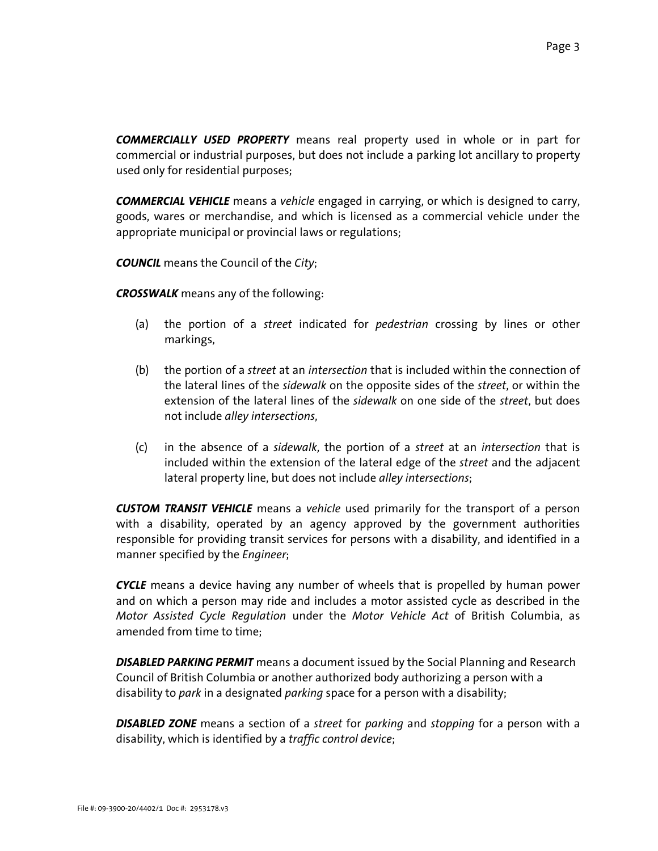*COMMERCIALLY USED PROPERTY* means real property used in whole or in part for commercial or industrial purposes, but does not include a parking lot ancillary to property used only for residential purposes;

*COMMERCIAL VEHICLE* means a *vehicle* engaged in carrying, or which is designed to carry, goods, wares or merchandise, and which is licensed as a commercial vehicle under the appropriate municipal or provincial laws or regulations;

*COUNCIL* means the Council of the *City*;

*CROSSWALK* means any of the following:

- (a) the portion of a *street* indicated for *pedestrian* crossing by lines or other markings,
- (b) the portion of a *street* at an *intersection* that is included within the connection of the lateral lines of the *sidewalk* on the opposite sides of the *street*, or within the extension of the lateral lines of the *sidewalk* on one side of the *street*, but does not include *alley intersections*,
- (c) in the absence of a *sidewalk*, the portion of a *street* at an *intersection* that is included within the extension of the lateral edge of the *street* and the adjacent lateral property line, but does not include *alley intersections*;

*CUSTOM TRANSIT VEHICLE* means a *vehicle* used primarily for the transport of a person with a disability, operated by an agency approved by the government authorities responsible for providing transit services for persons with a disability, and identified in a manner specified by the *Engineer*;

*CYCLE* means a device having any number of wheels that is propelled by human power and on which a person may ride and includes a motor assisted cycle as described in the *Motor Assisted Cycle Regulation* under the *Motor Vehicle Act* of British Columbia, as amended from time to time;

*DISABLED PARKING PERMIT* means a document issued by the Social Planning and Research Council of British Columbia or another authorized body authorizing a person with a disability to *park* in a designated *parking* space for a person with a disability;

*DISABLED ZONE* means a section of a *street* for *parking* and *stopping* for a person with a disability, which is identified by a *traffic control device*;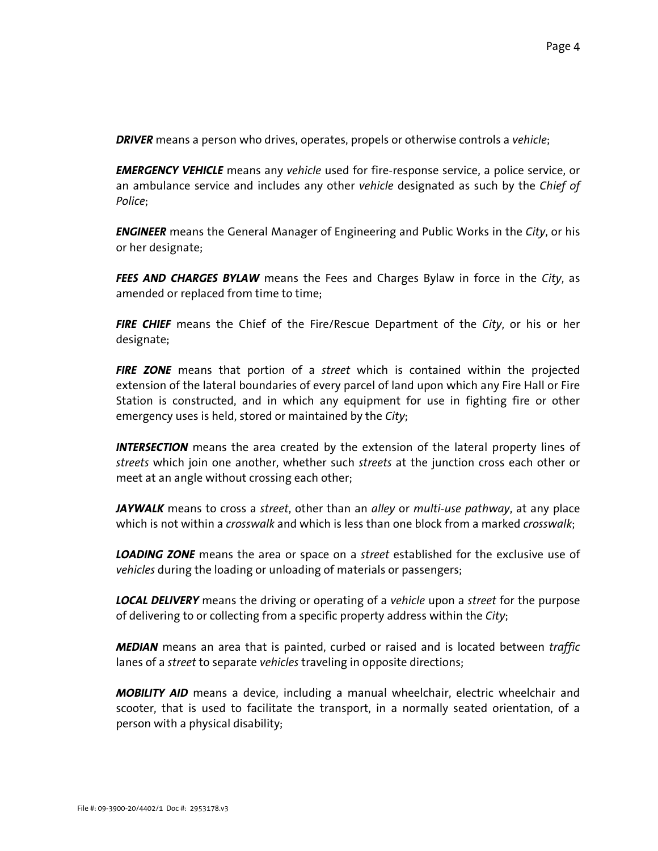*DRIVER* means a person who drives, operates, propels or otherwise controls a *vehicle*;

*EMERGENCY VEHICLE* means any *vehicle* used for fire-response service, a police service, or an ambulance service and includes any other *vehicle* designated as such by the *Chief of Police*;

*ENGINEER* means the General Manager of Engineering and Public Works in the *City*, or his or her designate;

*FEES AND CHARGES BYLAW* means the Fees and Charges Bylaw in force in the *City*, as amended or replaced from time to time;

*FIRE CHIEF* means the Chief of the Fire/Rescue Department of the *City*, or his or her designate;

*FIRE ZONE* means that portion of a *street* which is contained within the projected extension of the lateral boundaries of every parcel of land upon which any Fire Hall or Fire Station is constructed, and in which any equipment for use in fighting fire or other emergency uses is held, stored or maintained by the *City*;

*INTERSECTION* means the area created by the extension of the lateral property lines of *streets* which join one another, whether such *streets* at the junction cross each other or meet at an angle without crossing each other;

*JAYWALK* means to cross a *street*, other than an *alley* or *multi-use pathway*, at any place which is not within a *crosswalk* and which is less than one block from a marked *crosswalk*;

*LOADING ZONE* means the area or space on a *street* established for the exclusive use of *vehicles* during the loading or unloading of materials or passengers;

*LOCAL DELIVERY* means the driving or operating of a *vehicle* upon a *street* for the purpose of delivering to or collecting from a specific property address within the *City*;

*MEDIAN* means an area that is painted, curbed or raised and is located between *traffic* lanes of a *street* to separate *vehicles* traveling in opposite directions;

*MOBILITY AID* means a device, including a manual wheelchair, electric wheelchair and scooter, that is used to facilitate the transport, in a normally seated orientation, of a person with a physical disability;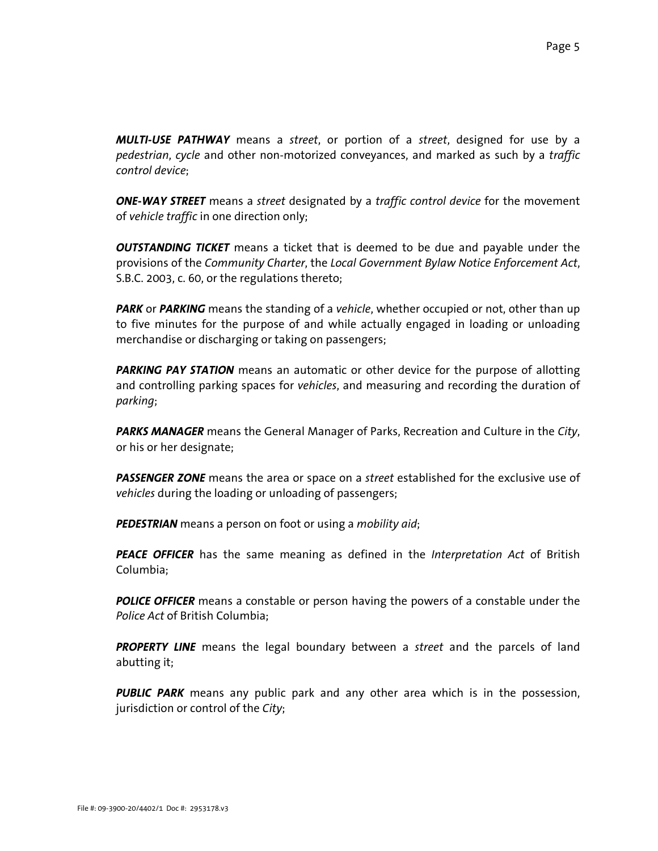*MULTI-USE PATHWAY* means a *street*, or portion of a *street*, designed for use by a *pedestrian*, *cycle* and other non-motorized conveyances, and marked as such by a *traffic control device*;

*ONE-WAY STREET* means a *street* designated by a *traffic control device* for the movement of *vehicle traffic* in one direction only;

*OUTSTANDING TICKET* means a ticket that is deemed to be due and payable under the provisions of the *Community Charter*, the *Local Government Bylaw Notice Enforcement Act*, S.B.C. 2003, c. 60, or the regulations thereto;

**PARK** or **PARKING** means the standing of a *vehicle*, whether occupied or not, other than up to five minutes for the purpose of and while actually engaged in loading or unloading merchandise or discharging or taking on passengers;

**PARKING PAY STATION** means an automatic or other device for the purpose of allotting and controlling parking spaces for *vehicles*, and measuring and recording the duration of *parking*;

*PARKS MANAGER* means the General Manager of Parks, Recreation and Culture in the *City*, or his or her designate;

*PASSENGER ZONE* means the area or space on a *street* established for the exclusive use of *vehicles* during the loading or unloading of passengers;

*PEDESTRIAN* means a person on foot or using a *mobility aid*;

*PEACE OFFICER* has the same meaning as defined in the *Interpretation Act* of British Columbia;

**POLICE OFFICER** means a constable or person having the powers of a constable under the *Police Act* of British Columbia;

*PROPERTY LINE* means the legal boundary between a *street* and the parcels of land abutting it;

*PUBLIC PARK* means any public park and any other area which is in the possession, jurisdiction or control of the *City*;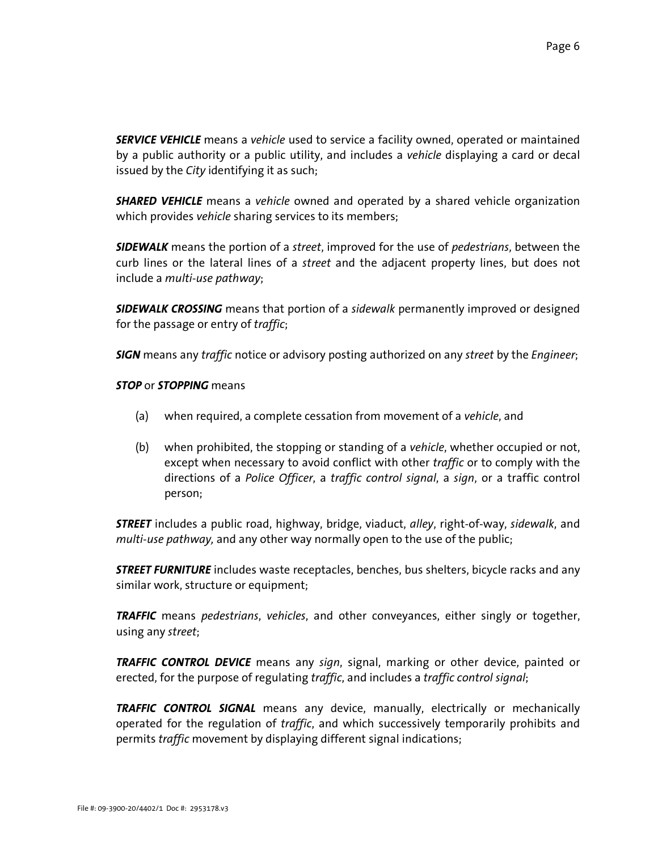*SERVICE VEHICLE* means a *vehicle* used to service a facility owned, operated or maintained by a public authority or a public utility, and includes a *vehicle* displaying a card or decal issued by the *City* identifying it as such;

*SHARED VEHICLE* means a *vehicle* owned and operated by a shared vehicle organization which provides *vehicle* sharing services to its members;

*SIDEWALK* means the portion of a *street*, improved for the use of *pedestrians*, between the curb lines or the lateral lines of a *street* and the adjacent property lines, but does not include a *multi-use pathway*;

*SIDEWALK CROSSING* means that portion of a *sidewalk* permanently improved or designed for the passage or entry of *traffic*;

*SIGN* means any *traffic* notice or advisory posting authorized on any *street* by the *Engineer*;

## *STOP* or *STOPPING* means

- (a) when required, a complete cessation from movement of a *vehicle*, and
- (b) when prohibited, the stopping or standing of a *vehicle*, whether occupied or not, except when necessary to avoid conflict with other *traffic* or to comply with the directions of a *Police Officer*, a *traffic control signal*, a *sign*, or a traffic control person;

*STREET* includes a public road, highway, bridge, viaduct, *alley*, right-of-way, *sidewalk*, and *multi-use pathway,* and any other way normally open to the use of the public;

*STREET FURNITURE* includes waste receptacles, benches, bus shelters, bicycle racks and any similar work, structure or equipment;

*TRAFFIC* means *pedestrians*, *vehicles*, and other conveyances, either singly or together, using any *street*;

*TRAFFIC CONTROL DEVICE* means any *sign*, signal, marking or other device, painted or erected, for the purpose of regulating *traffic*, and includes a *traffic control signal*;

*TRAFFIC CONTROL SIGNAL* means any device, manually, electrically or mechanically operated for the regulation of *traffic*, and which successively temporarily prohibits and permits *traffic* movement by displaying different signal indications;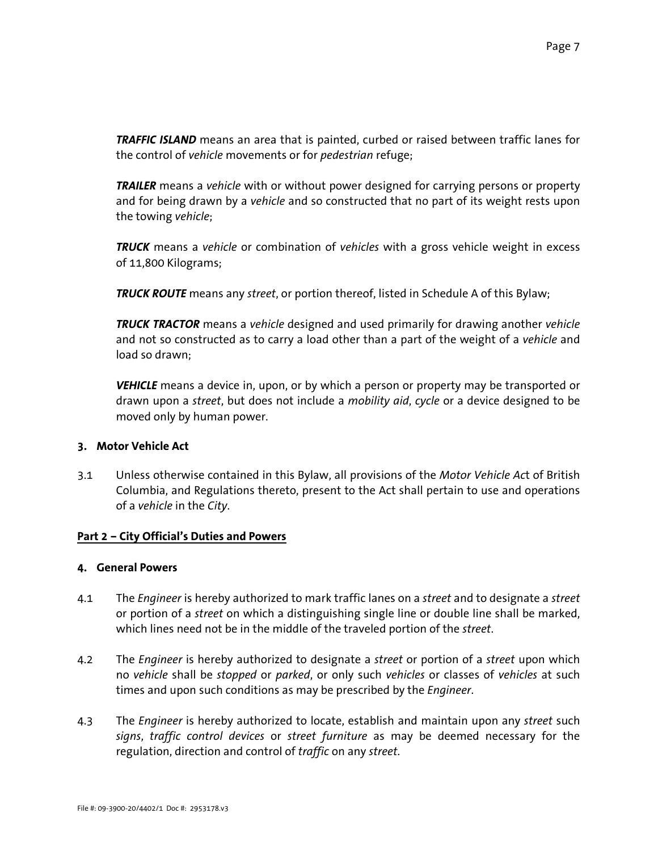*TRAFFIC ISLAND* means an area that is painted, curbed or raised between traffic lanes for the control of *vehicle* movements or for *pedestrian* refuge;

*TRAILER* means a *vehicle* with or without power designed for carrying persons or property and for being drawn by a *vehicle* and so constructed that no part of its weight rests upon the towing *vehicle*;

*TRUCK* means a *vehicle* or combination of *vehicles* with a gross vehicle weight in excess of 11,800 Kilograms;

*TRUCK ROUTE* means any *street*, or portion thereof, listed in Schedule A of this Bylaw;

*TRUCK TRACTOR* means a *vehicle* designed and used primarily for drawing another *vehicle* and not so constructed as to carry a load other than a part of the weight of a *vehicle* and load so drawn;

*VEHICLE* means a device in, upon, or by which a person or property may be transported or drawn upon a *street*, but does not include a *mobility aid*, *cycle* or a device designed to be moved only by human power.

### **3. Motor Vehicle Act**

3.1 Unless otherwise contained in this Bylaw, all provisions of the *Motor Vehicle Ac*t of British Columbia, and Regulations thereto, present to the Act shall pertain to use and operations of a *vehicle* in the *City*.

# **Part 2 – City Official's Duties and Powers**

## **4. General Powers**

- 4.1 The *Engineer* is hereby authorized to mark traffic lanes on a *street* and to designate a *street* or portion of a *street* on which a distinguishing single line or double line shall be marked, which lines need not be in the middle of the traveled portion of the *street*.
- 4.2 The *Engineer* is hereby authorized to designate a *street* or portion of a *street* upon which no *vehicle* shall be *stopped* or *parked*, or only such *vehicles* or classes of *vehicles* at such times and upon such conditions as may be prescribed by the *Engineer*.
- 4.3 The *Engineer* is hereby authorized to locate, establish and maintain upon any *street* such *signs*, *traffic control devices* or *street furniture* as may be deemed necessary for the regulation, direction and control of *traffic* on any *street*.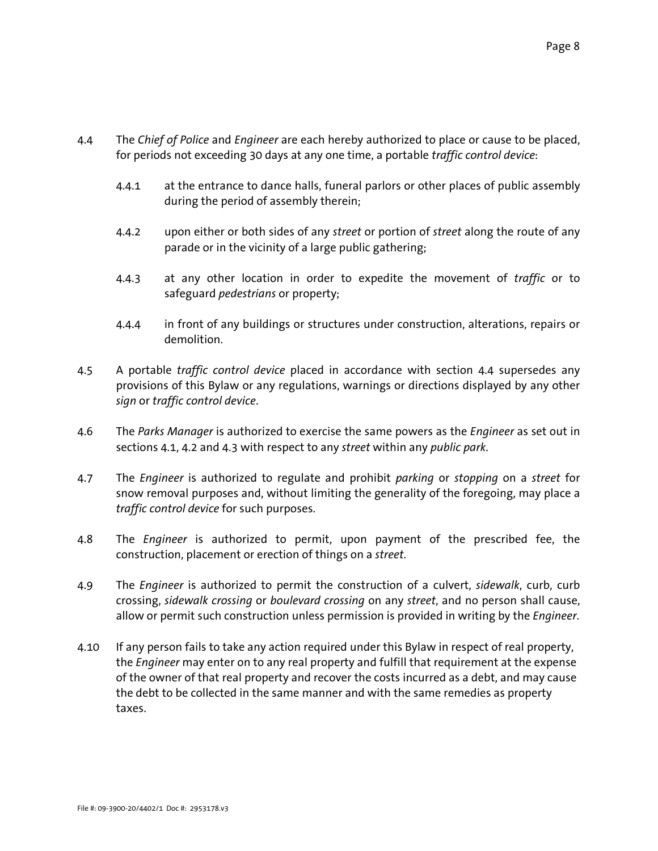- 4.4 The *Chief of Police* and *Engineer* are each hereby authorized to place or cause to be placed, for periods not exceeding 30 days at any one time, a portable *traffic control device*:
	- 4.4.1 at the entrance to dance halls, funeral parlors or other places of public assembly during the period of assembly therein;
	- 4.4.2 upon either or both sides of any *street* or portion of *street* along the route of any parade or in the vicinity of a large public gathering;
	- 4.4.3 at any other location in order to expedite the movement of *traffic* or to safeguard *pedestrians* or property;
	- 4.4.4 in front of any buildings or structures under construction, alterations, repairs or demolition.
- 4.5 A portable *traffic control device* placed in accordance with section 4.4 supersedes any provisions of this Bylaw or any regulations, warnings or directions displayed by any other *sign* or *traffic control device*.
- 4.6 The *Parks Manager* is authorized to exercise the same powers as the *Engineer* as set out in sections 4.1, 4.2 and 4.3 with respect to any *street* within any *public park*.
- 4.7 The *Engineer* is authorized to regulate and prohibit *parking* or *stopping* on a *street* for snow removal purposes and, without limiting the generality of the foregoing, may place a *traffic control device* for such purposes.
- 4.8 The *Engineer* is authorized to permit, upon payment of the prescribed fee, the construction, placement or erection of things on a *street*.
- 4.9 The *Engineer* is authorized to permit the construction of a culvert, *sidewalk*, curb, curb crossing, *sidewalk crossing* or *boulevard crossing* on any *street*, and no person shall cause, allow or permit such construction unless permission is provided in writing by the *Engineer*.
- 4.10 If any person fails to take any action required under this Bylaw in respect of real property, the *Engineer* may enter on to any real property and fulfill that requirement at the expense of the owner of that real property and recover the costs incurred as a debt, and may cause the debt to be collected in the same manner and with the same remedies as property taxes.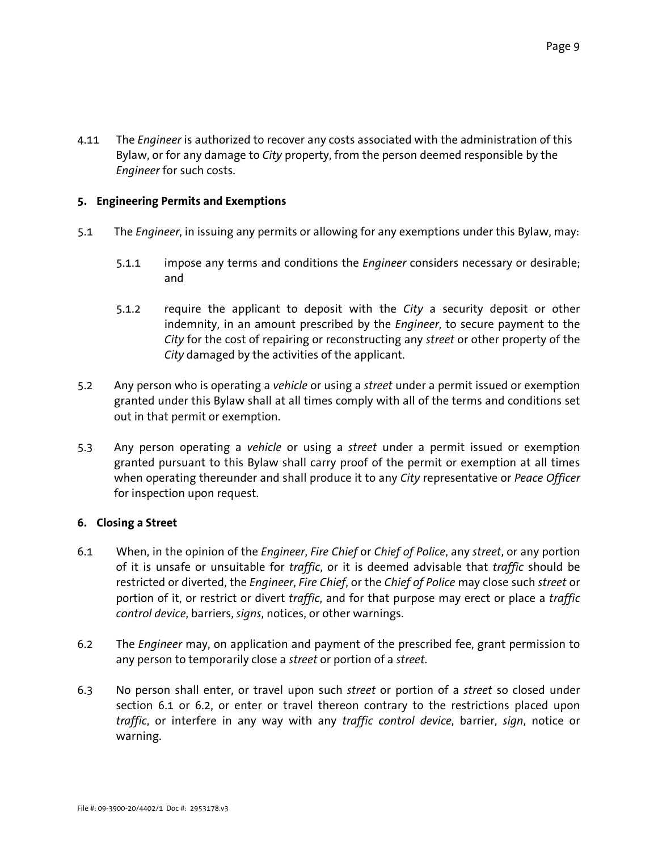4.11 The *Engineer* is authorized to recover any costs associated with the administration of this Bylaw, or for any damage to *City* property, from the person deemed responsible by the *Engineer* for such costs.

# **5. Engineering Permits and Exemptions**

- 5.1 The *Engineer*, in issuing any permits or allowing for any exemptions under this Bylaw, may:
	- 5.1.1 impose any terms and conditions the *Engineer* considers necessary or desirable; and
	- 5.1.2 require the applicant to deposit with the *City* a security deposit or other indemnity, in an amount prescribed by the *Engineer*, to secure payment to the *City* for the cost of repairing or reconstructing any *street* or other property of the *City* damaged by the activities of the applicant.
- 5.2 Any person who is operating a *vehicle* or using a *street* under a permit issued or exemption granted under this Bylaw shall at all times comply with all of the terms and conditions set out in that permit or exemption.
- 5.3 Any person operating a *vehicle* or using a *street* under a permit issued or exemption granted pursuant to this Bylaw shall carry proof of the permit or exemption at all times when operating thereunder and shall produce it to any *City* representative or *Peace Officer* for inspection upon request.

# **6. Closing a Street**

- 6.1 When, in the opinion of the *Engineer*, *Fire Chief* or *Chief of Police*, any *street*, or any portion of it is unsafe or unsuitable for *traffic*, or it is deemed advisable that *traffic* should be restricted or diverted, the *Engineer*, *Fire Chief*, or the *Chief of Police* may close such *street* or portion of it, or restrict or divert *traffic*, and for that purpose may erect or place a *traffic control device*, barriers, *signs*, notices, or other warnings.
- 6.2 The *Engineer* may, on application and payment of the prescribed fee, grant permission to any person to temporarily close a *street* or portion of a *street*.
- 6.3 No person shall enter, or travel upon such *street* or portion of a *street* so closed under section 6.1 or 6.2, or enter or travel thereon contrary to the restrictions placed upon *traffic*, or interfere in any way with any *traffic control device*, barrier, *sign*, notice or warning.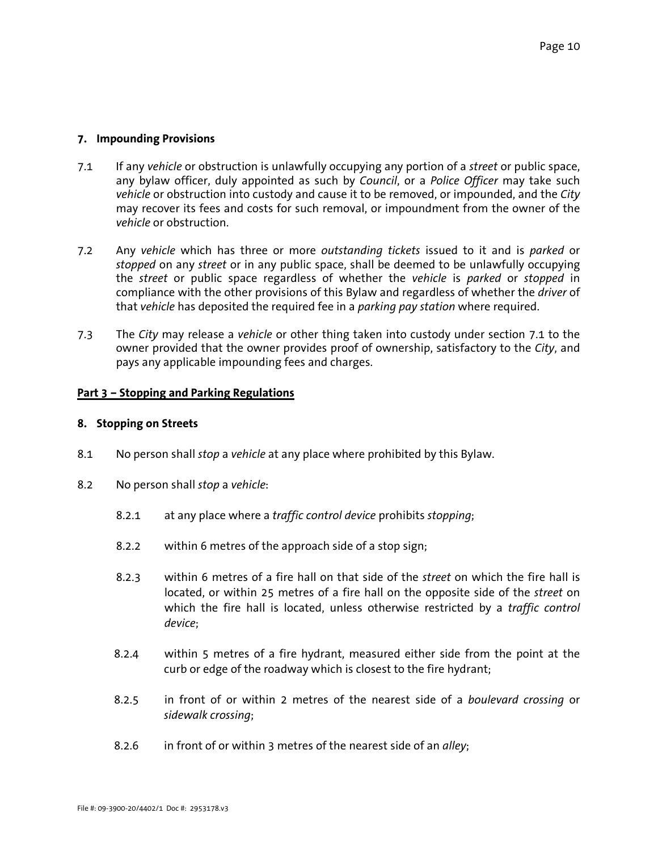#### **7. Impounding Provisions**

- 7.1 If any *vehicle* or obstruction is unlawfully occupying any portion of a *street* or public space, any bylaw officer, duly appointed as such by *Council*, or a *Police Officer* may take such *vehicle* or obstruction into custody and cause it to be removed, or impounded, and the *City* may recover its fees and costs for such removal, or impoundment from the owner of the *vehicle* or obstruction.
- 7.2 Any *vehicle* which has three or more *outstanding tickets* issued to it and is *parked* or *stopped* on any *street* or in any public space, shall be deemed to be unlawfully occupying the *street* or public space regardless of whether the *vehicle* is *parked* or *stopped* in compliance with the other provisions of this Bylaw and regardless of whether the *driver* of that *vehicle* has deposited the required fee in a *parking pay station* where required.
- 7.3 The *City* may release a *vehicle* or other thing taken into custody under section 7.1 to the owner provided that the owner provides proof of ownership, satisfactory to the *City*, and pays any applicable impounding fees and charges.

#### **Part 3 – Stopping and Parking Regulations**

#### **8. Stopping on Streets**

- 8.1 No person shall *stop* a *vehicle* at any place where prohibited by this Bylaw.
- 8.2 No person shall *stop* a *vehicle*:
	- 8.2.1 at any place where a *traffic control device* prohibits *stopping*;
	- 8.2.2 within 6 metres of the approach side of a stop sign;
	- 8.2.3 within 6 metres of a fire hall on that side of the *street* on which the fire hall is located, or within 25 metres of a fire hall on the opposite side of the *street* on which the fire hall is located, unless otherwise restricted by a *traffic control device*;
	- 8.2.4 within 5 metres of a fire hydrant, measured either side from the point at the curb or edge of the roadway which is closest to the fire hydrant;
	- 8.2.5 in front of or within 2 metres of the nearest side of a *boulevard crossing* or *sidewalk crossing*;
	- 8.2.6 in front of or within 3 metres of the nearest side of an *alley*;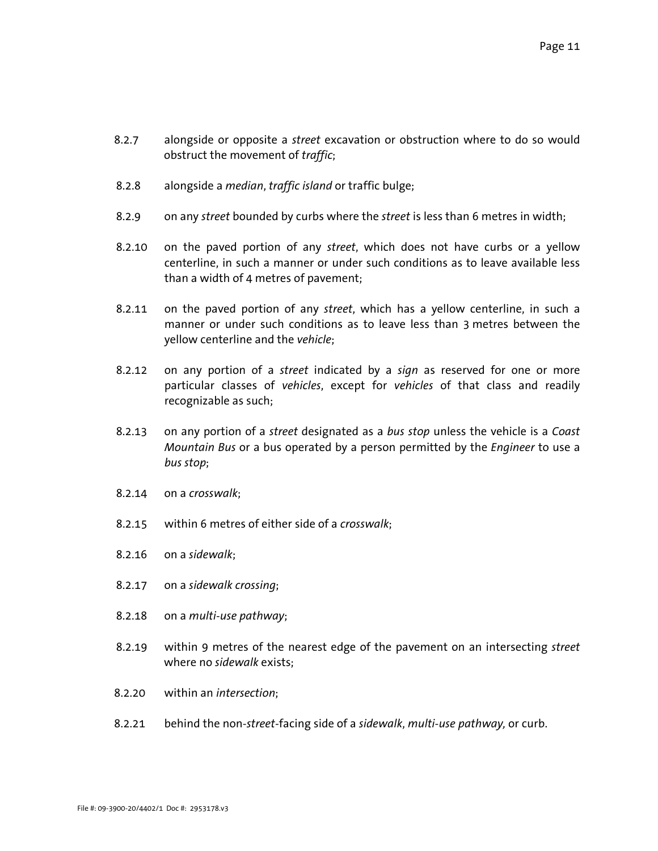- 8.2.7 alongside or opposite a *street* excavation or obstruction where to do so would obstruct the movement of *traffic*;
- 8.2.8 alongside a *median*, *traffic island* or traffic bulge;
- 8.2.9 on any *street* bounded by curbs where the *street* is less than 6 metres in width;
- 8.2.10 on the paved portion of any *street*, which does not have curbs or a yellow centerline, in such a manner or under such conditions as to leave available less than a width of 4 metres of pavement;
- 8.2.11 on the paved portion of any *street*, which has a yellow centerline, in such a manner or under such conditions as to leave less than 3 metres between the yellow centerline and the *vehicle*;
- 8.2.12 on any portion of a *street* indicated by a *sign* as reserved for one or more particular classes of *vehicles*, except for *vehicles* of that class and readily recognizable as such;
- 8.2.13 on any portion of a *street* designated as a *bus stop* unless the vehicle is a *Coast Mountain Bus* or a bus operated by a person permitted by the *Engineer* to use a *bus stop*;
- 8.2.14 on a *crosswalk*;
- 8.2.15 within 6 metres of either side of a *crosswalk*;
- 8.2.16 on a *sidewalk*;
- 8.2.17 on a *sidewalk crossing*;
- 8.2.18 on a *multi-use pathway*;
- 8.2.19 within 9 metres of the nearest edge of the pavement on an intersecting *street* where no *sidewalk* exists;
- 8.2.20 within an *intersection*;
- 8.2.21 behind the non-*street*-facing side of a *sidewalk*, *multi-use pathway,* or curb.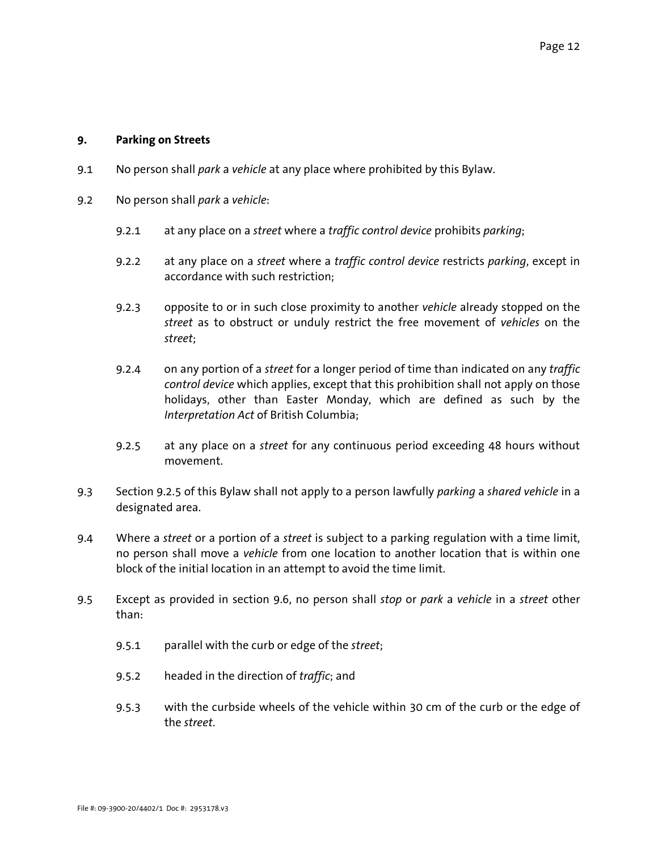#### **9. Parking on Streets**

- 9.1 No person shall *park* a *vehicle* at any place where prohibited by this Bylaw.
- 9.2 No person shall *park* a *vehicle*:
	- 9.2.1 at any place on a *street* where a *traffic control device* prohibits *parking*;
	- 9.2.2 at any place on a *street* where a *traffic control device* restricts *parking*, except in accordance with such restriction;
	- 9.2.3 opposite to or in such close proximity to another *vehicle* already stopped on the *street* as to obstruct or unduly restrict the free movement of *vehicles* on the *street*;
	- 9.2.4 on any portion of a *street* for a longer period of time than indicated on any *traffic control device* which applies, except that this prohibition shall not apply on those holidays, other than Easter Monday, which are defined as such by the *Interpretation Act* of British Columbia;
	- 9.2.5 at any place on a *street* for any continuous period exceeding 48 hours without movement.
- 9.3 Section 9.2.5 of this Bylaw shall not apply to a person lawfully *parking* a *shared vehicle* in a designated area.
- 9.4 Where a *street* or a portion of a *street* is subject to a parking regulation with a time limit, no person shall move a *vehicle* from one location to another location that is within one block of the initial location in an attempt to avoid the time limit.
- 9.5 Except as provided in section 9.6, no person shall *stop* or *park* a *vehicle* in a *street* other than:
	- 9.5.1 parallel with the curb or edge of the *street*;
	- 9.5.2 headed in the direction of *traffic*; and
	- 9.5.3 with the curbside wheels of the vehicle within 30 cm of the curb or the edge of the *street*.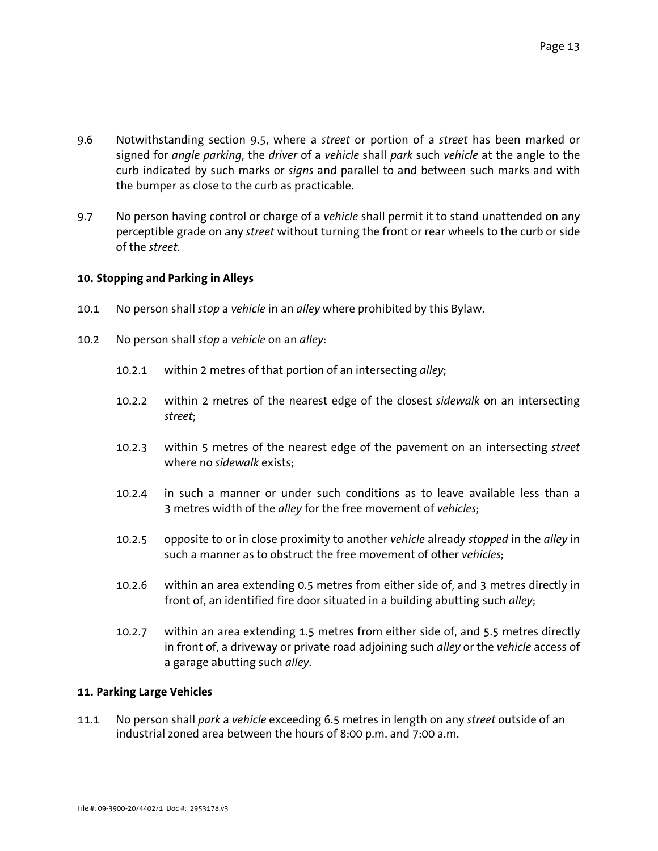- 9.6 Notwithstanding section 9.5, where a *street* or portion of a *street* has been marked or signed for *angle parking*, the *driver* of a *vehicle* shall *park* such *vehicle* at the angle to the curb indicated by such marks or *signs* and parallel to and between such marks and with the bumper as close to the curb as practicable.
- 9.7 No person having control or charge of a *vehicle* shall permit it to stand unattended on any perceptible grade on any *street* without turning the front or rear wheels to the curb or side of the *street*.

## **10. Stopping and Parking in Alleys**

- 10.1 No person shall *stop* a *vehicle* in an *alley* where prohibited by this Bylaw.
- 10.2 No person shall *stop* a *vehicle* on an *alley*:
	- 10.2.1 within 2 metres of that portion of an intersecting *alley*;
	- 10.2.2 within 2 metres of the nearest edge of the closest *sidewalk* on an intersecting *street*;
	- 10.2.3 within 5 metres of the nearest edge of the pavement on an intersecting *street* where no *sidewalk* exists;
	- 10.2.4 in such a manner or under such conditions as to leave available less than a 3 metres width of the *alley* for the free movement of *vehicles*;
	- 10.2.5 opposite to or in close proximity to another *vehicle* already *stopped* in the *alley* in such a manner as to obstruct the free movement of other *vehicles*;
	- 10.2.6 within an area extending 0.5 metres from either side of, and 3 metres directly in front of, an identified fire door situated in a building abutting such *alley*;
	- 10.2.7 within an area extending 1.5 metres from either side of, and 5.5 metres directly in front of, a driveway or private road adjoining such *alley* or the *vehicle* access of a garage abutting such *alley*.

### **11. Parking Large Vehicles**

11.1 No person shall *park* a *vehicle* exceeding 6.5 metres in length on any *street* outside of an industrial zoned area between the hours of 8:00 p.m. and 7:00 a.m.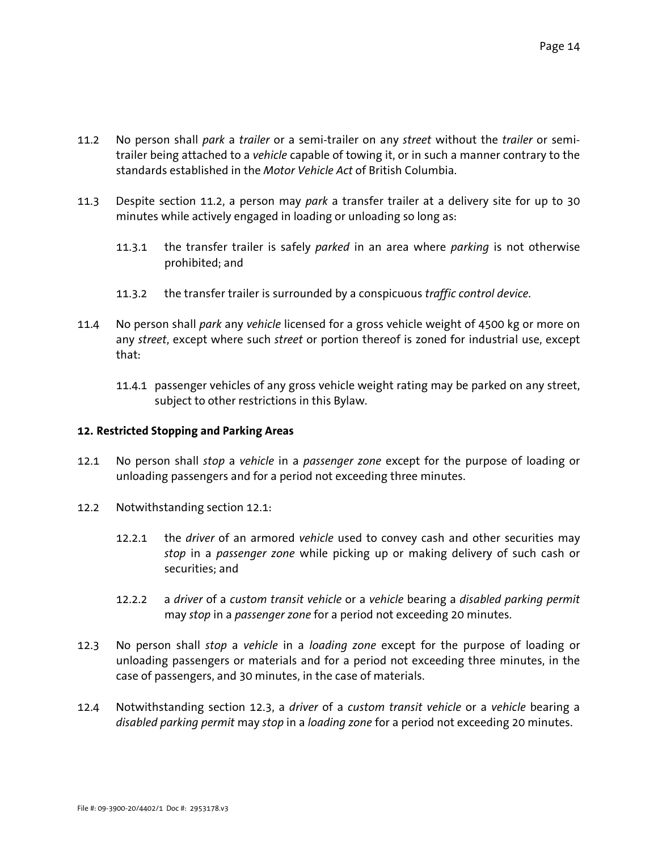- 11.2 No person shall *park* a *trailer* or a semi-trailer on any *street* without the *trailer* or semitrailer being attached to a *vehicle* capable of towing it, or in such a manner contrary to the standards established in the *Motor Vehicle Act* of British Columbia.
- 11.3 Despite section 11.2, a person may *park* a transfer trailer at a delivery site for up to 30 minutes while actively engaged in loading or unloading so long as:
	- 11.3.1 the transfer trailer is safely *parked* in an area where *parking* is not otherwise prohibited; and
	- 11.3.2 the transfer trailer is surrounded by a conspicuous *traffic control device*.
- 11.4 No person shall *park* any *vehicle* licensed for a gross vehicle weight of 4500 kg or more on any *street*, except where such *street* or portion thereof is zoned for industrial use, except that:
	- 11.4.1 passenger vehicles of any gross vehicle weight rating may be parked on any street, subject to other restrictions in this Bylaw.

### **12. Restricted Stopping and Parking Areas**

- 12.1 No person shall *stop* a *vehicle* in a *passenger zone* except for the purpose of loading or unloading passengers and for a period not exceeding three minutes.
- 12.2 Notwithstanding section 12.1:
	- 12.2.1 the *driver* of an armored *vehicle* used to convey cash and other securities may *stop* in a *passenger zone* while picking up or making delivery of such cash or securities; and
	- 12.2.2 a *driver* of a *custom transit vehicle* or a *vehicle* bearing a *disabled parking permit* may *stop* in a *passenger zone* for a period not exceeding 20 minutes.
- 12.3 No person shall *stop* a *vehicle* in a *loading zone* except for the purpose of loading or unloading passengers or materials and for a period not exceeding three minutes, in the case of passengers, and 30 minutes, in the case of materials.
- 12.4 Notwithstanding section 12.3, a *driver* of a *custom transit vehicle* or a *vehicle* bearing a *disabled parking permit* may *stop* in a *loading zone* for a period not exceeding 20 minutes.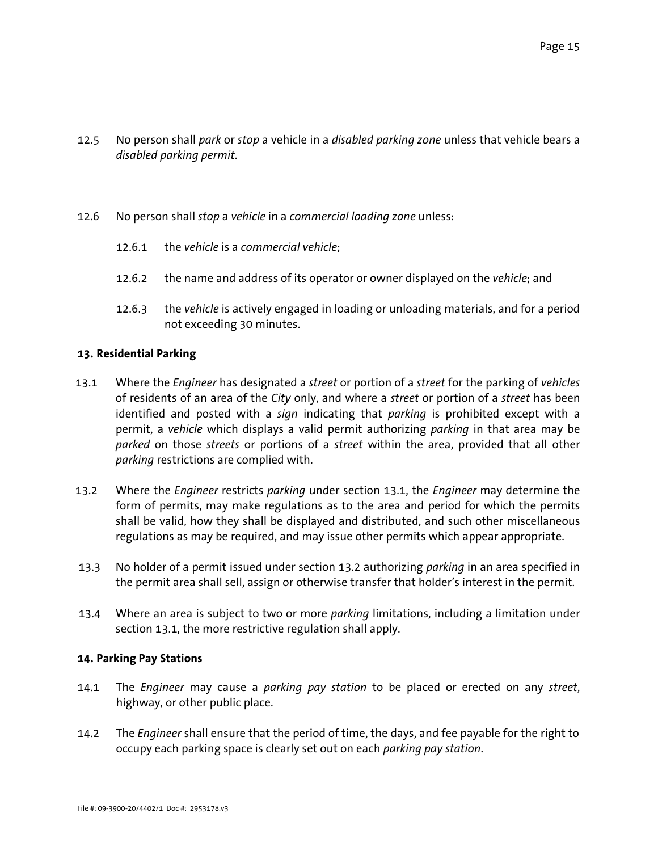- 12.5 No person shall *park* or *stop* a vehicle in a *disabled parking zone* unless that vehicle bears a *disabled parking permit*.
- 12.6 No person shall *stop* a *vehicle* in a *commercial loading zone* unless:
	- 12.6.1 the *vehicle* is a *commercial vehicle*;
	- 12.6.2 the name and address of its operator or owner displayed on the *vehicle*; and
	- 12.6.3 the *vehicle* is actively engaged in loading or unloading materials, and for a period not exceeding 30 minutes.

## **13. Residential Parking**

- 13.1 Where the *Engineer* has designated a *street* or portion of a *street* for the parking of *vehicles* of residents of an area of the *City* only, and where a *street* or portion of a *street* has been identified and posted with a *sign* indicating that *parking* is prohibited except with a permit, a *vehicle* which displays a valid permit authorizing *parking* in that area may be *parked* on those *streets* or portions of a *street* within the area, provided that all other *parking* restrictions are complied with.
- 13.2 Where the *Engineer* restricts *parking* under section 13.1, the *Engineer* may determine the form of permits, may make regulations as to the area and period for which the permits shall be valid, how they shall be displayed and distributed, and such other miscellaneous regulations as may be required, and may issue other permits which appear appropriate.
- 13.3 No holder of a permit issued under section 13.2 authorizing *parking* in an area specified in the permit area shall sell, assign or otherwise transfer that holder's interest in the permit.
- 13.4 Where an area is subject to two or more *parking* limitations, including a limitation under section 13.1, the more restrictive regulation shall apply.

# **14. Parking Pay Stations**

- 14.1 The *Engineer* may cause a *parking pay station* to be placed or erected on any *street*, highway, or other public place.
- 14.2 The *Engineer* shall ensure that the period of time, the days, and fee payable for the right to occupy each parking space is clearly set out on each *parking pay station*.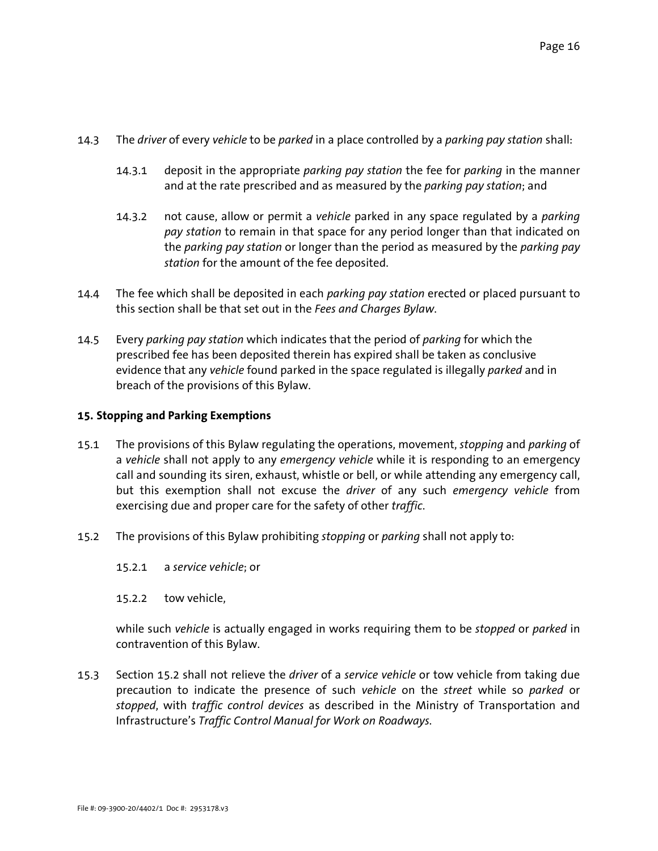- 14.3 The *driver* of every *vehicle* to be *parked* in a place controlled by a *parking pay station* shall:
	- 14.3.1 deposit in the appropriate *parking pay station* the fee for *parking* in the manner and at the rate prescribed and as measured by the *parking pay station*; and
	- 14.3.2 not cause, allow or permit a *vehicle* parked in any space regulated by a *parking pay station* to remain in that space for any period longer than that indicated on the *parking pay station* or longer than the period as measured by the *parking pay station* for the amount of the fee deposited.
- 14.4 The fee which shall be deposited in each *parking pay station* erected or placed pursuant to this section shall be that set out in the *Fees and Charges Bylaw*.
- 14.5 Every *parking pay station* which indicates that the period of *parking* for which the prescribed fee has been deposited therein has expired shall be taken as conclusive evidence that any *vehicle* found parked in the space regulated is illegally *parked* and in breach of the provisions of this Bylaw.

# **15. Stopping and Parking Exemptions**

- 15.1 The provisions of this Bylaw regulating the operations, movement, *stopping* and *parking* of a *vehicle* shall not apply to any *emergency vehicle* while it is responding to an emergency call and sounding its siren, exhaust, whistle or bell, or while attending any emergency call, but this exemption shall not excuse the *driver* of any such *emergency vehicle* from exercising due and proper care for the safety of other *traffic*.
- 15.2 The provisions of this Bylaw prohibiting *stopping* or *parking* shall not apply to:
	- 15.2.1 a *service vehicle*; or
	- 15.2.2 tow vehicle,

while such *vehicle* is actually engaged in works requiring them to be *stopped* or *parked* in contravention of this Bylaw.

15.3 Section 15.2 shall not relieve the *driver* of a *service vehicle* or tow vehicle from taking due precaution to indicate the presence of such *vehicle* on the *street* while so *parked* or *stopped*, with *traffic control devices* as described in the Ministry of Transportation and Infrastructure's *Traffic Control Manual for Work on Roadways.*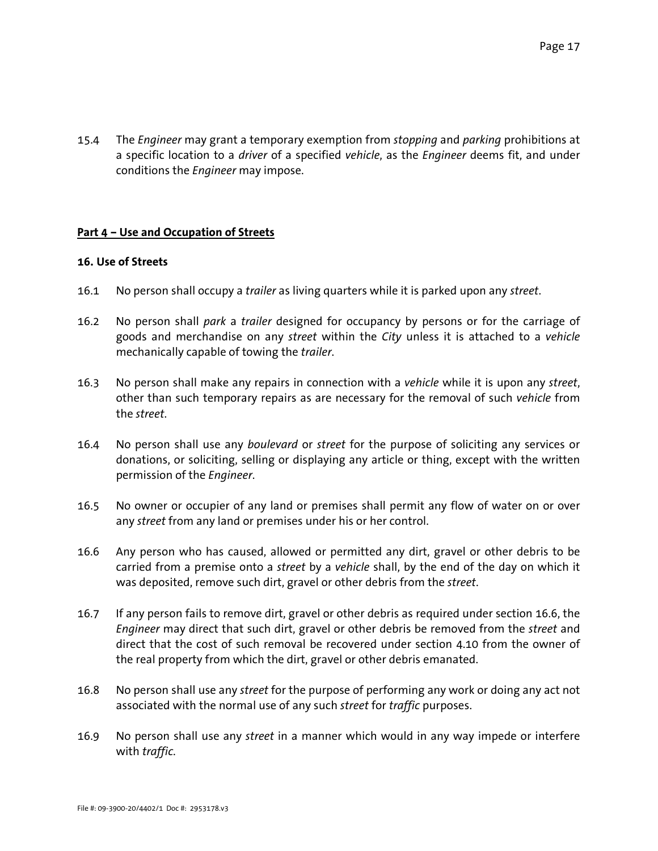15.4 The *Engineer* may grant a temporary exemption from *stopping* and *parking* prohibitions at a specific location to a *driver* of a specified *vehicle*, as the *Engineer* deems fit, and under conditions the *Engineer* may impose.

## **Part 4 – Use and Occupation of Streets**

### **16. Use of Streets**

- 16.1 No person shall occupy a *trailer* as living quarters while it is parked upon any *street*.
- 16.2 No person shall *park* a *trailer* designed for occupancy by persons or for the carriage of goods and merchandise on any *street* within the *City* unless it is attached to a *vehicle* mechanically capable of towing the *trailer*.
- 16.3 No person shall make any repairs in connection with a *vehicle* while it is upon any *street*, other than such temporary repairs as are necessary for the removal of such *vehicle* from the *street*.
- 16.4 No person shall use any *boulevard* or *street* for the purpose of soliciting any services or donations, or soliciting, selling or displaying any article or thing, except with the written permission of the *Engineer*.
- 16.5 No owner or occupier of any land or premises shall permit any flow of water on or over any *street* from any land or premises under his or her control.
- 16.6 Any person who has caused, allowed or permitted any dirt, gravel or other debris to be carried from a premise onto a *street* by a *vehicle* shall, by the end of the day on which it was deposited, remove such dirt, gravel or other debris from the *street*.
- 16.7 If any person fails to remove dirt, gravel or other debris as required under section 16.6, the *Engineer* may direct that such dirt, gravel or other debris be removed from the *street* and direct that the cost of such removal be recovered under section 4.10 from the owner of the real property from which the dirt, gravel or other debris emanated.
- 16.8 No person shall use any *street* for the purpose of performing any work or doing any act not associated with the normal use of any such *street* for *traffic* purposes.
- 16.9 No person shall use any *street* in a manner which would in any way impede or interfere with *traffic*.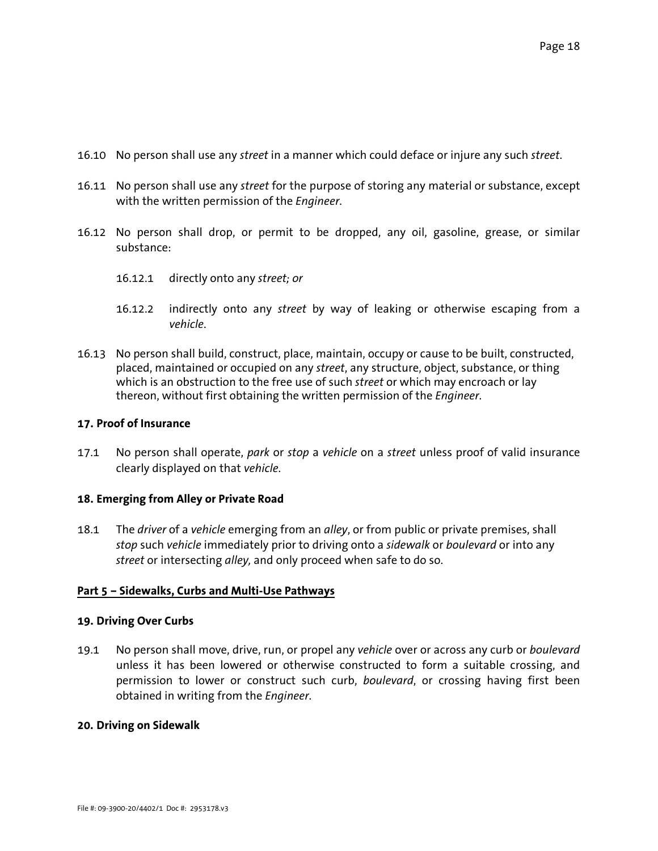- 16.10 No person shall use any *street* in a manner which could deface or injure any such *street*.
- 16.11 No person shall use any *street* for the purpose of storing any material or substance, except with the written permission of the *Engineer*.
- 16.12 No person shall drop, or permit to be dropped, any oil, gasoline, grease, or similar substance:
	- 16.12.1 directly onto any *street; or*
	- 16.12.2 indirectly onto any *street* by way of leaking or otherwise escaping from a *vehicle*.
- 16.13 No person shall build, construct, place, maintain, occupy or cause to be built, constructed, placed, maintained or occupied on any *street*, any structure, object, substance, or thing which is an obstruction to the free use of such *street* or which may encroach or lay thereon, without first obtaining the written permission of the *Engineer*.

## **17. Proof of Insurance**

17.1 No person shall operate, *park* or *stop* a *vehicle* on a *street* unless proof of valid insurance clearly displayed on that *vehicle*.

### **18. Emerging from Alley or Private Road**

18.1 The *driver* of a *vehicle* emerging from an *alley*, or from public or private premises, shall *stop* such *vehicle* immediately prior to driving onto a *sidewalk* or *boulevard* or into any *street* or intersecting *alley,* and only proceed when safe to do so.

# **Part 5 – Sidewalks, Curbs and Multi-Use Pathways**

### **19. Driving Over Curbs**

19.1 No person shall move, drive, run, or propel any *vehicle* over or across any curb or *boulevard* unless it has been lowered or otherwise constructed to form a suitable crossing, and permission to lower or construct such curb, *boulevard*, or crossing having first been obtained in writing from the *Engineer*.

### **20. Driving on Sidewalk**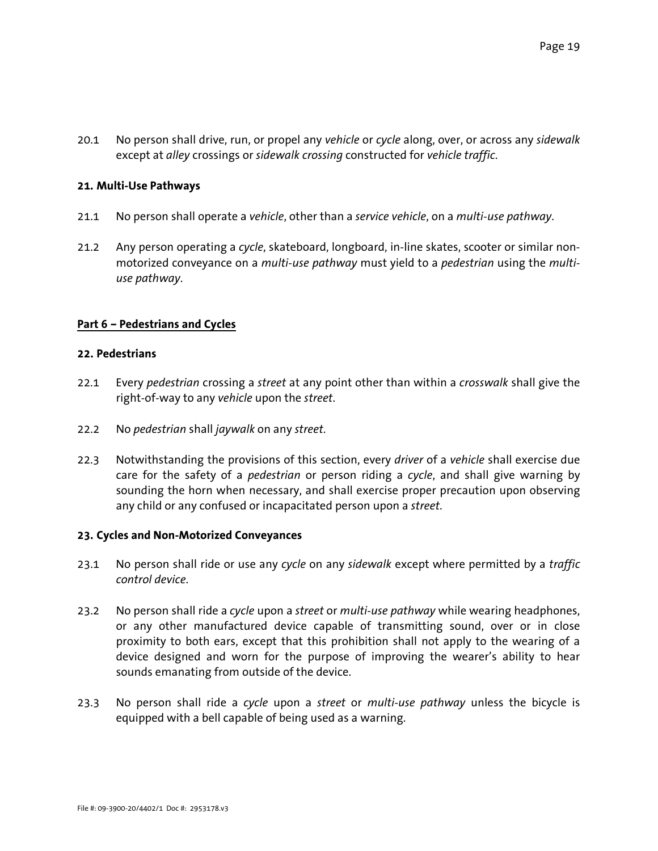20.1 No person shall drive, run, or propel any *vehicle* or *cycle* along, over, or across any *sidewalk* except at *alley* crossings or *sidewalk crossing* constructed for *vehicle traffic*.

## **21. Multi-Use Pathways**

- 21.1 No person shall operate a *vehicle*, other than a *service vehicle*, on a *multi-use pathway*.
- 21.2 Any person operating a *cycle*, skateboard, longboard, in-line skates, scooter or similar nonmotorized conveyance on a *multi-use pathway* must yield to a *pedestrian* using the *multiuse pathway*.

## **Part 6 – Pedestrians and Cycles**

### **22. Pedestrians**

- 22.1 Every *pedestrian* crossing a *street* at any point other than within a *crosswalk* shall give the right-of-way to any *vehicle* upon the *street*.
- 22.2 No *pedestrian* shall *jaywalk* on any *street*.
- 22.3 Notwithstanding the provisions of this section, every *driver* of a *vehicle* shall exercise due care for the safety of a *pedestrian* or person riding a *cycle*, and shall give warning by sounding the horn when necessary, and shall exercise proper precaution upon observing any child or any confused or incapacitated person upon a *street*.

### **23. Cycles and Non-Motorized Conveyances**

- 23.1 No person shall ride or use any *cycle* on any *sidewalk* except where permitted by a *traffic control device*.
- 23.2 No person shall ride a *cycle* upon a *street* or *multi-use pathway* while wearing headphones, or any other manufactured device capable of transmitting sound, over or in close proximity to both ears, except that this prohibition shall not apply to the wearing of a device designed and worn for the purpose of improving the wearer's ability to hear sounds emanating from outside of the device.
- 23.3 No person shall ride a *cycle* upon a *street* or *multi-use pathway* unless the bicycle is equipped with a bell capable of being used as a warning.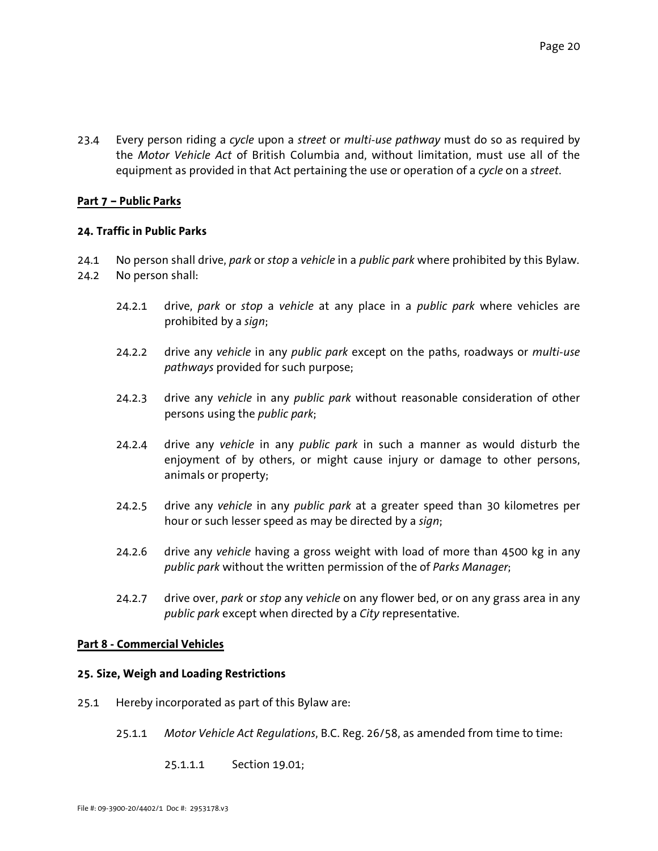23.4 Every person riding a *cycle* upon a *street* or *multi-use pathway* must do so as required by the *Motor Vehicle Act* of British Columbia and, without limitation, must use all of the equipment as provided in that Act pertaining the use or operation of a *cycle* on a *street*.

## **Part 7 – Public Parks**

## **24. Traffic in Public Parks**

- 24.1 No person shall drive, *park* or *stop* a *vehicle* in a *public park* where prohibited by this Bylaw.
- 24.2 No person shall:
	- 24.2.1 drive, *park* or *stop* a *vehicle* at any place in a *public park* where vehicles are prohibited by a *sign*;
	- 24.2.2 drive any *vehicle* in any *public park* except on the paths, roadways or *multi-use pathways* provided for such purpose;
	- 24.2.3 drive any *vehicle* in any *public park* without reasonable consideration of other persons using the *public park*;
	- 24.2.4 drive any *vehicle* in any *public park* in such a manner as would disturb the enjoyment of by others, or might cause injury or damage to other persons, animals or property;
	- 24.2.5 drive any *vehicle* in any *public park* at a greater speed than 30 kilometres per hour or such lesser speed as may be directed by a *sign*;
	- 24.2.6 drive any *vehicle* having a gross weight with load of more than 4500 kg in any *public park* without the written permission of the of *Parks Manager*;
	- 24.2.7 drive over, *park* or *stop* any *vehicle* on any flower bed, or on any grass area in any *public park* except when directed by a *City* representative.

### **Part 8 - Commercial Vehicles**

## **25. Size, Weigh and Loading Restrictions**

- 25.1 Hereby incorporated as part of this Bylaw are:
	- 25.1.1 *Motor Vehicle Act Regulations*, B.C. Reg. 26/58, as amended from time to time:
		- 25.1.1.1 Section 19.01;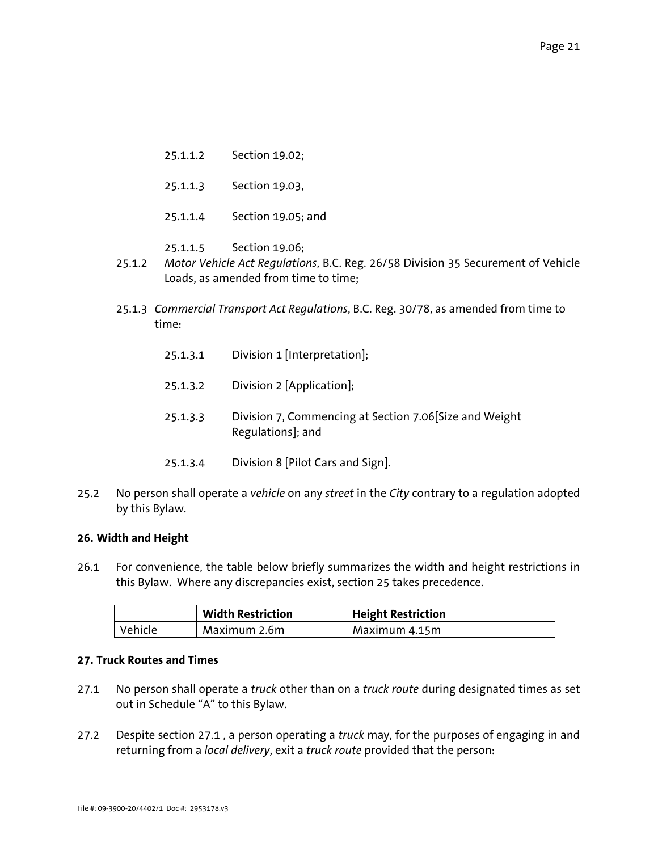- 25.1.1.2 Section 19.02;
- 25.1.1.3 Section 19.03,
- 25.1.1.4 Section 19.05; and
- 25.1.1.5 Section 19.06;
- 25.1.2 *Motor Vehicle Act Regulations*, B.C. Reg. 26/58 Division 35 Securement of Vehicle Loads, as amended from time to time;
- 25.1.3 *Commercial Transport Act Regulations*, B.C. Reg. 30/78, as amended from time to time:
	- 25.1.3.1 Division 1 [Interpretation];
	- 25.1.3.2 Division 2 [Application];
	- 25.1.3.3 Division 7, Commencing at Section 7.06[Size and Weight Regulations]; and
	- 25.1.3.4 Division 8 [Pilot Cars and Sign].
- 25.2 No person shall operate a *vehicle* on any *street* in the *City* contrary to a regulation adopted by this Bylaw.

### **26. Width and Height**

26.1 For convenience, the table below briefly summarizes the width and height restrictions in this Bylaw. Where any discrepancies exist, section 25 takes precedence.

|         | <b>Width Restriction</b> | <b>Height Restriction</b> |
|---------|--------------------------|---------------------------|
| Vehicle | Maximum 2.6m             | Maximum 4.15m             |

### **27. Truck Routes and Times**

- 27.1 No person shall operate a *truck* other than on a *truck route* during designated times as set out in Schedule "A" to this Bylaw.
- 27.2 Despite section 27.1 , a person operating a *truck* may, for the purposes of engaging in and returning from a *local delivery*, exit a *truck route* provided that the person: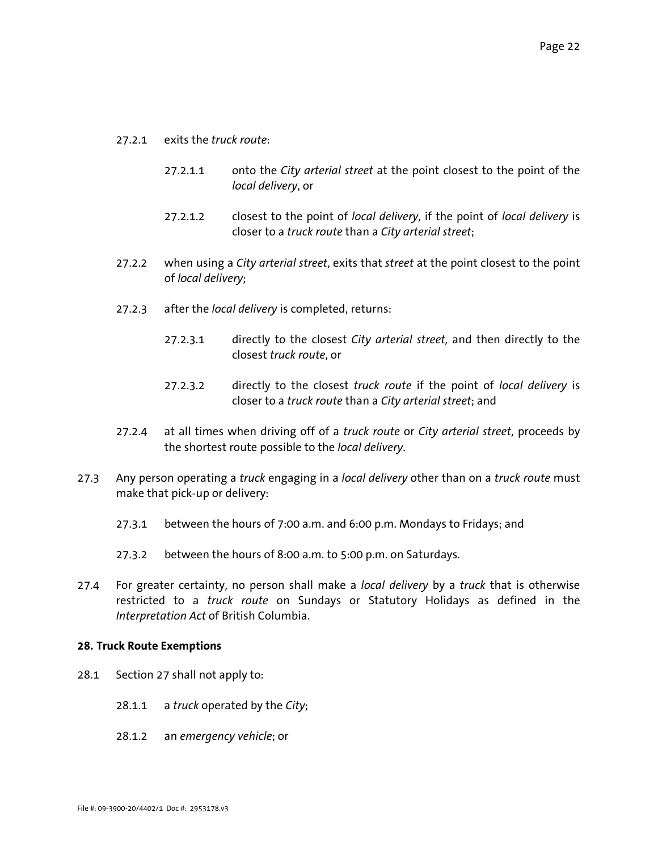- 27.2.1 exits the *truck route*:
	- 27.2.1.1 onto the *City arterial street* at the point closest to the point of the *local delivery*, or
	- 27.2.1.2 closest to the point of *local delivery*, if the point of *local delivery* is closer to a *truck route* than a *City arterial street*;
- 27.2.2 when using a *City arterial street*, exits that *street* at the point closest to the point of *local delivery*;
- 27.2.3 after the *local delivery* is completed, returns:
	- 27.2.3.1 directly to the closest *City arterial street,* and then directly to the closest *truck route*, or
	- 27.2.3.2 directly to the closest *truck route* if the point of *local delivery* is closer to a *truck route* than a *City arterial street*; and
- 27.2.4 at all times when driving off of a *truck route* or *City arterial street*, proceeds by the shortest route possible to the *local delivery*.
- 27.3 Any person operating a *truck* engaging in a *local delivery* other than on a *truck route* must make that pick-up or delivery:
	- 27.3.1 between the hours of 7:00 a.m. and 6:00 p.m. Mondays to Fridays; and
	- 27.3.2 between the hours of 8:00 a.m. to 5:00 p.m. on Saturdays.
- 27.4 For greater certainty, no person shall make a *local delivery* by a *truck* that is otherwise restricted to a *truck route* on Sundays or Statutory Holidays as defined in the *Interpretation Act* of British Columbia.

#### **28. Truck Route Exemptions**

- 28.1 Section 27 shall not apply to:
	- 28.1.1 a *truck* operated by the *City*;
	- 28.1.2 an *emergency vehicle*; or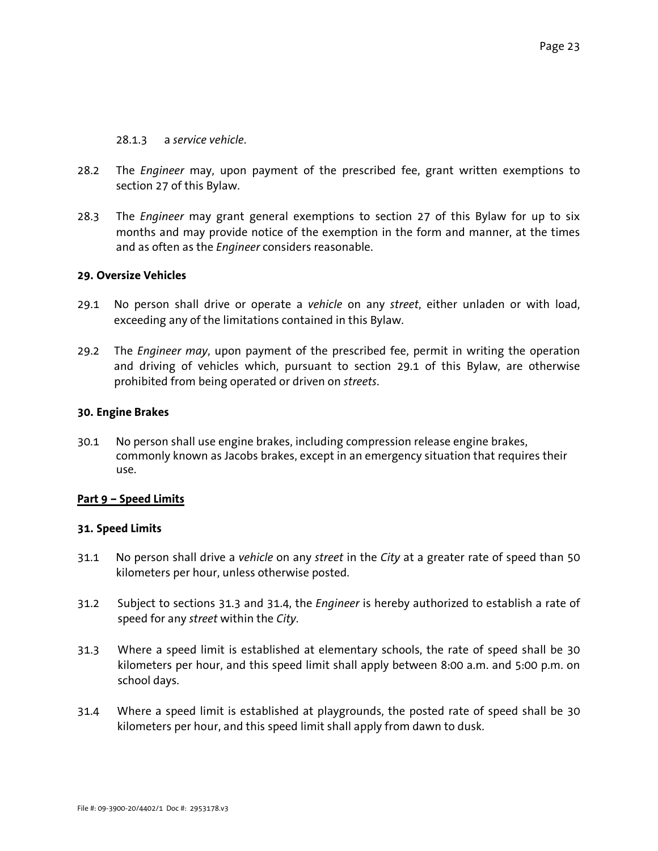## 28.1.3 a *service vehicle*.

- 28.2 The *Engineer* may, upon payment of the prescribed fee, grant written exemptions to section 27 of this Bylaw.
- 28.3 The *Engineer* may grant general exemptions to section 27 of this Bylaw for up to six months and may provide notice of the exemption in the form and manner, at the times and as often as the *Engineer* considers reasonable.

## **29. Oversize Vehicles**

- 29.1 No person shall drive or operate a *vehicle* on any *street*, either unladen or with load, exceeding any of the limitations contained in this Bylaw.
- 29.2 The *Engineer may*, upon payment of the prescribed fee, permit in writing the operation and driving of vehicles which, pursuant to section 29.1 of this Bylaw, are otherwise prohibited from being operated or driven on *streets*.

## **30. Engine Brakes**

30.1 No person shall use engine brakes, including compression release engine brakes, commonly known as Jacobs brakes, except in an emergency situation that requires their use.

# **Part 9 – Speed Limits**

# **31. Speed Limits**

- 31.1 No person shall drive a *vehicle* on any *street* in the *City* at a greater rate of speed than 50 kilometers per hour, unless otherwise posted.
- 31.2 Subject to sections 31.3 and 31.4, the *Engineer* is hereby authorized to establish a rate of speed for any *street* within the *City*.
- 31.3 Where a speed limit is established at elementary schools, the rate of speed shall be 30 kilometers per hour, and this speed limit shall apply between 8:00 a.m. and 5:00 p.m. on school days.
- 31.4 Where a speed limit is established at playgrounds, the posted rate of speed shall be 30 kilometers per hour, and this speed limit shall apply from dawn to dusk.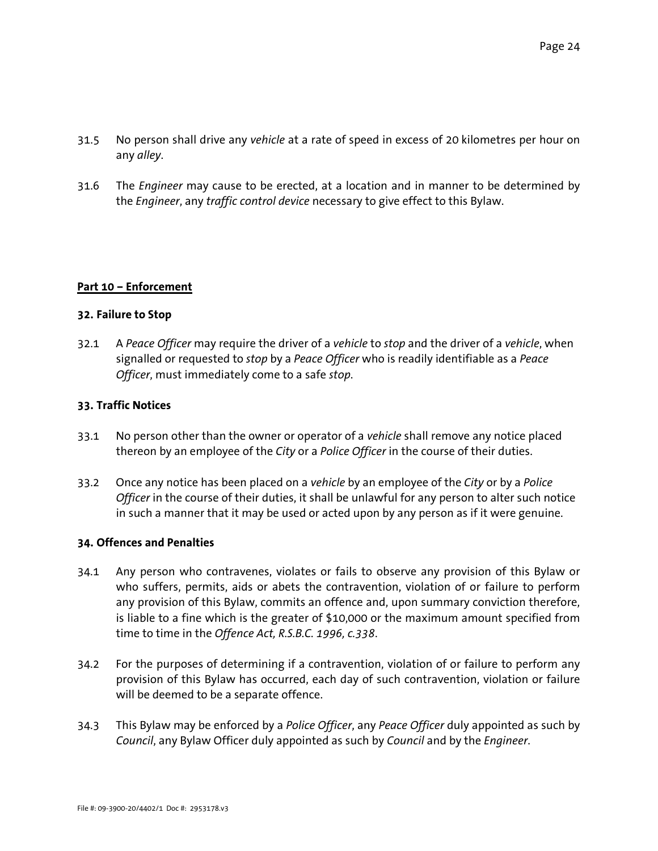- 31.5 No person shall drive any *vehicle* at a rate of speed in excess of 20 kilometres per hour on any *alley*.
- 31.6 The *Engineer* may cause to be erected, at a location and in manner to be determined by the *Engineer*, any *traffic control device* necessary to give effect to this Bylaw.

# **Part 10 – Enforcement**

### **32. Failure to Stop**

32.1 A *Peace Officer* may require the driver of a *vehicle* to *stop* and the driver of a *vehicle*, when signalled or requested to *stop* by a *Peace Officer* who is readily identifiable as a *Peace Officer*, must immediately come to a safe *stop*.

### **33. Traffic Notices**

- 33.1 No person other than the owner or operator of a *vehicle* shall remove any notice placed thereon by an employee of the *City* or a *Police Officer* in the course of their duties.
- 33.2 Once any notice has been placed on a *vehicle* by an employee of the *City* or by a *Police Officer* in the course of their duties, it shall be unlawful for any person to alter such notice in such a manner that it may be used or acted upon by any person as if it were genuine.

#### **34. Offences and Penalties**

- 34.1 Any person who contravenes, violates or fails to observe any provision of this Bylaw or who suffers, permits, aids or abets the contravention, violation of or failure to perform any provision of this Bylaw, commits an offence and, upon summary conviction therefore, is liable to a fine which is the greater of \$10,000 or the maximum amount specified from time to time in the *Offence Act, R.S.B.C. 1996, c.338*.
- 34.2 For the purposes of determining if a contravention, violation of or failure to perform any provision of this Bylaw has occurred, each day of such contravention, violation or failure will be deemed to be a separate offence.
- 34.3 This Bylaw may be enforced by a *Police Officer*, any *Peace Officer* duly appointed as such by *Council*, any Bylaw Officer duly appointed as such by *Council* and by the *Engineer*.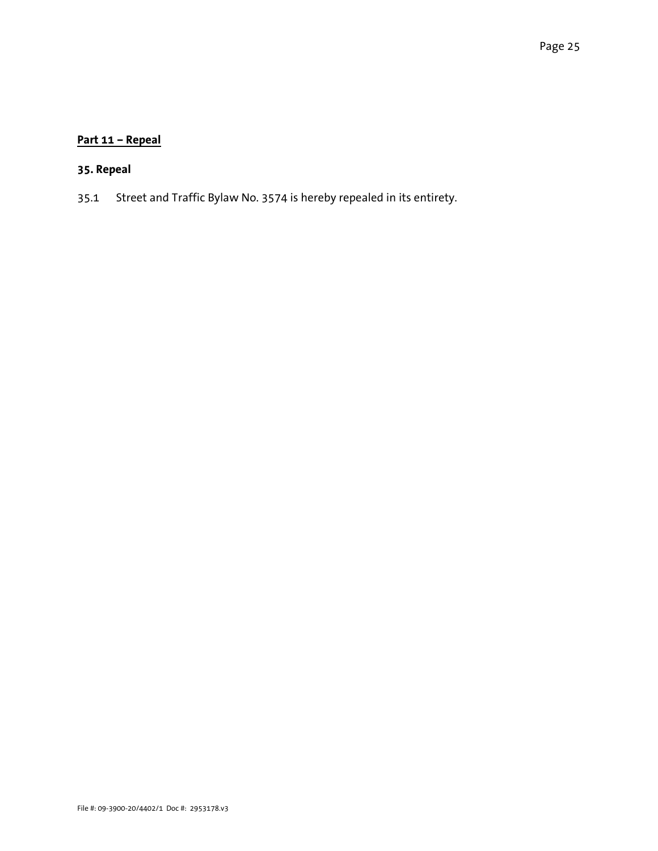# **Part 11 – Repeal**

# **35. Repeal**

35.1 Street and Traffic Bylaw No. 3574 is hereby repealed in its entirety.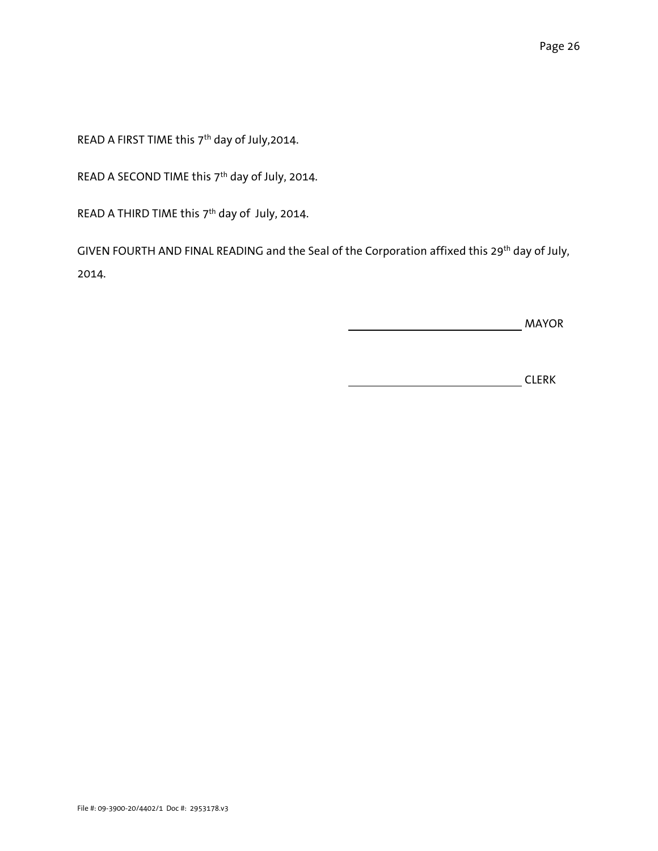READ A FIRST TIME this 7th day of July,2014.

READ A SECOND TIME this 7<sup>th</sup> day of July, 2014.

READ A THIRD TIME this 7<sup>th</sup> day of July, 2014.

GIVEN FOURTH AND FINAL READING and the Seal of the Corporation affixed this 29<sup>th</sup> day of July, 2014.

MAYOR

**CLERK**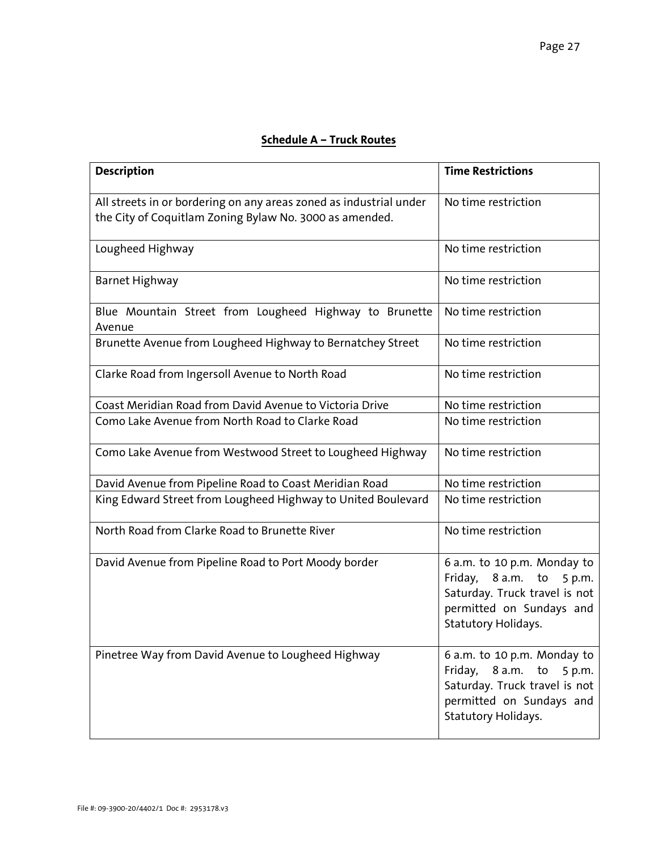# **Schedule A – Truck Routes**

| <b>Description</b>                                                                                                            | <b>Time Restrictions</b>                                                                                                                             |
|-------------------------------------------------------------------------------------------------------------------------------|------------------------------------------------------------------------------------------------------------------------------------------------------|
| All streets in or bordering on any areas zoned as industrial under<br>the City of Coquitlam Zoning Bylaw No. 3000 as amended. | No time restriction                                                                                                                                  |
| Lougheed Highway                                                                                                              | No time restriction                                                                                                                                  |
| Barnet Highway                                                                                                                | No time restriction                                                                                                                                  |
| Blue Mountain Street from Lougheed Highway to Brunette<br>Avenue                                                              | No time restriction                                                                                                                                  |
| Brunette Avenue from Lougheed Highway to Bernatchey Street                                                                    | No time restriction                                                                                                                                  |
| Clarke Road from Ingersoll Avenue to North Road                                                                               | No time restriction                                                                                                                                  |
| Coast Meridian Road from David Avenue to Victoria Drive                                                                       | No time restriction                                                                                                                                  |
| Como Lake Avenue from North Road to Clarke Road                                                                               | No time restriction                                                                                                                                  |
| Como Lake Avenue from Westwood Street to Lougheed Highway                                                                     | No time restriction                                                                                                                                  |
| David Avenue from Pipeline Road to Coast Meridian Road                                                                        | No time restriction                                                                                                                                  |
| King Edward Street from Lougheed Highway to United Boulevard                                                                  | No time restriction                                                                                                                                  |
| North Road from Clarke Road to Brunette River                                                                                 | No time restriction                                                                                                                                  |
| David Avenue from Pipeline Road to Port Moody border                                                                          | 6 a.m. to 10 p.m. Monday to<br>Friday, 8 a.m.<br>to<br>5 p.m.<br>Saturday. Truck travel is not<br>permitted on Sundays and<br>Statutory Holidays.    |
| Pinetree Way from David Avenue to Lougheed Highway                                                                            | 6 a.m. to 10 p.m. Monday to<br>Friday,<br>8 a.m.<br>to<br>5 p.m.<br>Saturday. Truck travel is not<br>permitted on Sundays and<br>Statutory Holidays. |